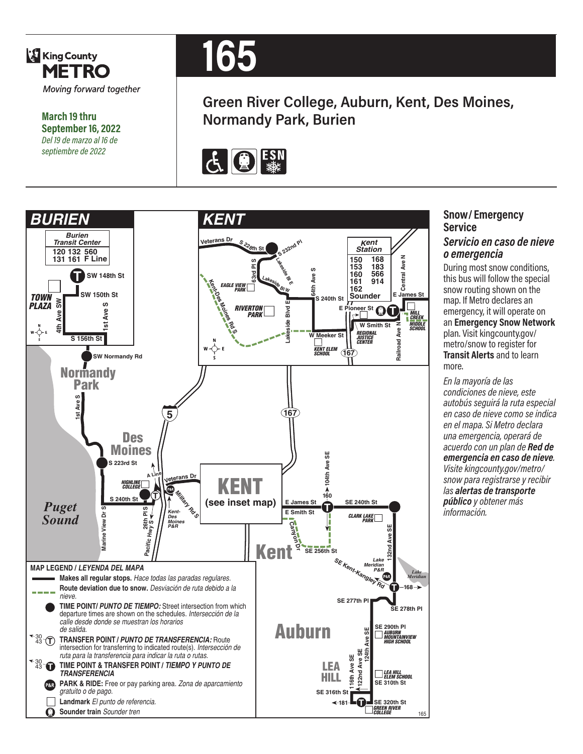

**March 19 thru September 16, 2022** *Del 19 de marzo al 16 de septiembre de 2022*



# **Green River College, Auburn, Kent, Des Moines, Normandy Park, Burien**





### **Snow/ Emergency Service**  *Servicio en caso de nieve o emergencia*

During most snow conditions, this bus will follow the special snow routing shown on the map. If Metro declares an emergency, it will operate on an **Emergency Snow Network**  plan. Visit kingcounty.gov/ metro/snow to register for **Transit Alerts** and to learn more.

*En la mayoría de las condiciones de nieve, este autobús seguirá la ruta especial en caso de nieve como se indica en el mapa. Si Metro declara una emergencia, operará de acuerdo con un plan de Red de emergencia en caso de nieve. Visite kingcounty.gov/metro/ snow para registrarse y recibir las alertas de transporte público y obtener más información.*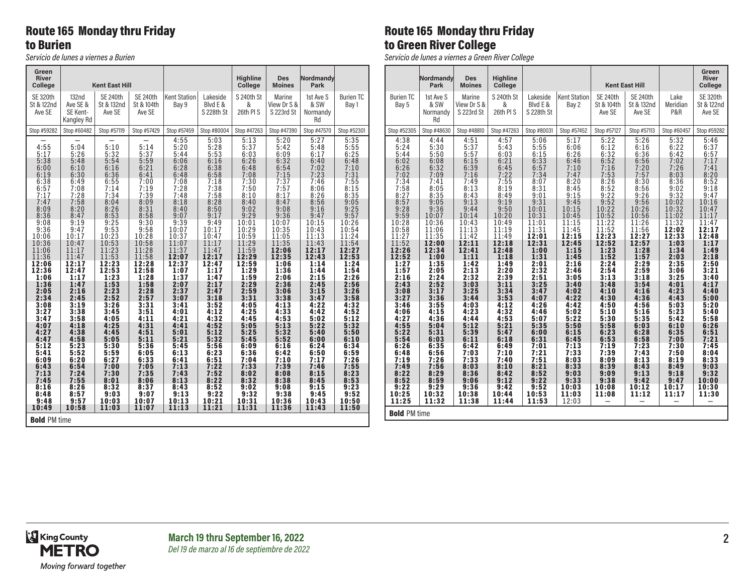## Route 165 Monday thru Friday to Burien

*Servicio de lunes a viernes a Burien*

#### **Green River Kent East Hill Highline College Des Moines Nordmandy Park** SE 320th St & 122nd Ave SE 132nd Ave SE & SE Kent-Kangley Rd SE 240th St & 132nd Ave SE SE 240th St & 104th Ave SE Kent Station Bay 9 Lakeside Blvd E & S 228th St S 240th St & 26th Pl S Marine View Dr S & S 223rd St 1st Ave S & SW Normandy Rd Burien TC Bay 1 Stop #59282 | Stop #60482 | Stop #57119 | Stop #57429 | Stop #57459 | Stop #80004 | Stop #47263 | Stop #47390 | Stop #47570 | Stop #52301 — | — | — | — | 4:55 | 5:03 | 5:13 | 5:20 | 5:27 | 5:35 4:55 | 5:04 | 5:10 | 5:14 | 5:20 | 5:28 | 5:37 | 5:42 | 5:48 | 5:55 5:17 5:26 5:32 5:37 5:44 5:53 6:03 6:09 6:17 6:25 5:38 5:48 5:54 5:59 6:06 6:16 6:26 6:32 6:40 6:48  $\, 6:00 \quad | \quad 6:10 \quad | \quad 6:16 \quad | \quad 6:21 \quad | \quad 6:28 \quad | \quad 6:38 \quad | \quad 6:48 \quad | \quad 6:54 \quad | \quad 7:02 \quad | \quad 7:10$  $6:19$   $6:30$   $6:36$   $6:41$   $6:48$   $6:58$   $7:08$   $7:15$   $7:23$   $7:31$  $6:38$   $|$   $6:49$   $|$   $6:55$   $|$   $7:00$   $|$   $7:08$   $|$   $7:18$   $|$   $7:30$   $|$   $7:37$   $|$   $7:46$   $|$   $7:55$ 6:57 7:08 7:14 7:19 7:28 7:38 7:50 7:57 8:06 8:15 7:17 7:28 7:34 7:39 7:48 7:58 8:10 8:17 8:26 8:35 7:47 7:58 8:04 8:09 8:18 8:28 8:40 8:47 8:56 9:05 8:09 8:20 8:26 8:31 8:40 8:50 9:02 9:08 9:16 9:25 8:36 8:47 8:53 8:58 9:07 9:17 9:29 9:36 9:47 9:57 9:08 9:19 9:25 9:30 9:39 9:49 10:01 10:07 10:15 10:26 9:36 9:47 9:53 9:58 10:07 10:17 10:29 10:35 10:43 10:54 10:06 10:17 10:23 10:28 10:37 10:47 10:59 11:05 11:13 11:24 10:36 10:47 10:53 10:58 11:07 11:17 11:29 11:35 11:43 11:54  $11:06$   $\mid$   $11:17$   $\mid$   $11:23$   $\mid$   $11:28$   $\mid$   $11:37$   $\mid$   $11:47$   $\mid$   $11:59$   $\mid$   $\mid$   $\mid$   $2:06$   $\mid$   $\mid$   $12:17$   $\mid$   $\mid$   $12:27$ 11:36 11:47 11:53 11:58 12:07 12:17 12:29 12:35 12:43 12:53 12:06 12:17 12:23 12:28 12:37 12:47 12:59 1:06 1:14 1:24 12:36 12:47 12:53 12:58 1:07 1:17 1:29 1:36 1:44 1:54 1:06 1:17 1:23 1:28 1:37 1:47 1:59 2:06 2:15 2:26 1:36 1:47 1:53 1:58 2:07 2:17 2:29 2:36 2:45 2:56 2:05 2:16 2:23 2:28 2:37 2:47 2:59 3:06 3:15 3:26 2:34 2:45 2:52 2:57 3:07 3:18 3:31 3:38 3:47 3:58 3:08 3:19 3:26 3:31 3:41 3:52 4:05 4:13 4:22 4:32 3:27 3:38 3:45 3:51 4:01 4:12 4:25 4:33 4:42 4:52 3:47 3:58 4:05 4:11 4:21 4:32 4:45 4:53 5:02 5:12 4:07 | 4:18 | 4:25 | 4:31 | 4:41 | 4:52 | 5:05 | 5:13 | 5:22 | 5:32 4:27 | 4:38 | 4:45 | 4:51 | 5:01 | 5:12 | 5:25 | 5:32 | 5:40 | 5:50 4:47 | 4:58 | 5:05 | 5:11 | 5:21 | 5:32 | 5:45 | 5:52 | 6:00 | 6:10 5:12 5:23 5:30 5:36 5:45 5:56 6:09 6:16 6:24 6:34 5:41 5:52 5:59 6:05 6:13 6:23 6:36 6:42 6:50 6:59  $6:09$   $6:20$   $6:27$   $6:33$   $6:41$   $6:51$   $7:04$   $7:10$   $7:17$   $7:26$ 6:43 6:54 7:00 7:05 7:13 7:22 7:33 7:39 7:46 7:55 7:13 7:24 7:30 7:35 7:43 7:52 8:02 8:08 8:15 8:23 7:45 7:55 8:01 8:06 8:13 8:22 8:32 8:38 8:45 8:53 8:16 8:26 8:32 8:37 8:43 8:52 9:02 9:08 9:15 9:23 8:48 8:57 9:03 9:07 9:13 9:22 9:32 9:38 9:45 9:52 9:48 9:57 10:03 10:07 10:13 10:21 10:31 10:36 10:43 10:50 10:49 10:58 11:03 11:07 11:13 11:21 11:31 11:36 11:43 11:50

### Route 165 Monday thru Friday to Green River College

*Servicio de lunes a viernes a Green River College*

|                                                                                                                                                            | Nordmandy<br>Park                                                                                                                                          | <b>Des</b><br><b>Moines</b>                                                                                                                                | <b>Highline</b><br>College                                                                                                                                 |                                                                                                                                                            |                                                                                                                                                            |                                                                                                                                                            | <b>Kent East Hill</b>                                                                                                                                      |                                                                                                                                                            | Green<br><b>River</b><br>College                                                                                                                           |
|------------------------------------------------------------------------------------------------------------------------------------------------------------|------------------------------------------------------------------------------------------------------------------------------------------------------------|------------------------------------------------------------------------------------------------------------------------------------------------------------|------------------------------------------------------------------------------------------------------------------------------------------------------------|------------------------------------------------------------------------------------------------------------------------------------------------------------|------------------------------------------------------------------------------------------------------------------------------------------------------------|------------------------------------------------------------------------------------------------------------------------------------------------------------|------------------------------------------------------------------------------------------------------------------------------------------------------------|------------------------------------------------------------------------------------------------------------------------------------------------------------|------------------------------------------------------------------------------------------------------------------------------------------------------------|
| <b>Burien TC</b><br>Bay 5                                                                                                                                  | 1st Ave S<br>& SW<br>Normandy<br>Rd                                                                                                                        | Marine<br>View Dr S &<br>S 223rd St                                                                                                                        | S 240th St<br>&<br>26th PIS                                                                                                                                | Lakeside<br>Blvd E &<br>S 228th St                                                                                                                         | <b>Kent Station</b><br>Bay 2                                                                                                                               | <b>SE 240th</b><br>St & 104th<br>Ave SE                                                                                                                    | <b>SE 240th</b><br>St & 132nd<br>Ave SE                                                                                                                    | Lake<br>Meridian<br>P&R                                                                                                                                    | <b>SE 320th</b><br>St & 122nd<br>Ave SE                                                                                                                    |
| Stop #52305                                                                                                                                                | Stop #48630                                                                                                                                                | Stop #48810                                                                                                                                                | Stop #47263                                                                                                                                                | Stop #80031                                                                                                                                                | Stop #57452                                                                                                                                                | Stop #57127                                                                                                                                                | Stop #57113                                                                                                                                                | Stop #60457                                                                                                                                                | Stop #59282                                                                                                                                                |
| 4:38<br>5:24<br>5:44<br>6:02<br>6:26<br>7:02<br>7:34<br>7:58<br>8:27<br>8:57<br>9:28<br>9:59<br>10:28<br>10:58<br>11:27<br>11:52<br>12:26<br>12:52<br>1:27 | 4:44<br>5:30<br>5:50<br>6:08<br>6:32<br>7:09<br>7:41<br>8:05<br>8:35<br>9:05<br>9:36<br>10:07<br>10:36<br>11:06<br>11:35<br>12:00<br>12:34<br>1:00<br>1:35 | 4:51<br>5:37<br>5:57<br>6:15<br>6:39<br>7:16<br>7:49<br>8:13<br>8:43<br>9:13<br>9:44<br>10:14<br>10:43<br>11:13<br>11:42<br>12:11<br>12:41<br>1:11<br>1:42 | 4:57<br>5:43<br>6:03<br>6:21<br>6:45<br>7:22<br>7:55<br>8:19<br>8:49<br>9:19<br>9:50<br>10:20<br>10:49<br>11:19<br>11:49<br>12:18<br>12:48<br>1:18<br>1:49 | 5:06<br>5:55<br>6:15<br>6:33<br>6:57<br>7:34<br>8:07<br>8:31<br>9:01<br>9:31<br>10:01<br>10:31<br>11:01<br>11:31<br>12:01<br>12:31<br>1:00<br>1:31<br>2:01 | 5:17<br>6:06<br>6:26<br>6:46<br>7:10<br>7:47<br>8:20<br>8:45<br>9:15<br>9:45<br>10:15<br>10:45<br>11:15<br>11:45<br>12:15<br>12:45<br>1:15<br>1:45<br>2:16 | 5:22<br>6:12<br>6:32<br>6:52<br>7:16<br>7:53<br>8:26<br>8:52<br>9:22<br>9:52<br>10:22<br>10:52<br>11:22<br>11:52<br>12:23<br>12:52<br>1:23<br>1:52<br>2:24 | 5:26<br>6:16<br>6:36<br>6:56<br>7:20<br>7:57<br>8:30<br>8:56<br>9:26<br>9:56<br>10:26<br>10:56<br>11:26<br>11:56<br>12:27<br>12:57<br>1:28<br>1:57<br>2:29 | 5:32<br>6:22<br>6:42<br>7:02<br>7:26<br>8:03<br>8:36<br>9:02<br>9:32<br>10:02<br>10:32<br>11:02<br>11:32<br>12:02<br>12:33<br>1:03<br>1:34<br>2:03<br>2:35 | 5:46<br>6:37<br>6:57<br>7:17<br>7:41<br>8:20<br>8:52<br>9:18<br>9:47<br>10:16<br>10:47<br>11:17<br>11:47<br>12:17<br>12:48<br>1:17<br>1:49<br>2:18<br>2:50 |
| 1:57<br>2:16                                                                                                                                               | 2:05<br>2:24                                                                                                                                               | 2:13<br>2:32                                                                                                                                               | 2:20<br>2:39                                                                                                                                               | 2:32<br>2:51                                                                                                                                               | 2:46<br>3:05                                                                                                                                               | 2:54<br>3:13                                                                                                                                               | 2:59<br>3:18                                                                                                                                               | 3:06<br>3:25                                                                                                                                               | 3:21<br>3:40                                                                                                                                               |
| 2:43<br>3:08<br>3:27<br>3:46<br>4:06<br>4:27<br>4:55<br>5:22<br>5:54                                                                                       | 2:52<br>3:17<br>3:36<br>3:55<br>4:15<br>4:36<br>5:04<br>5:31<br>6:03                                                                                       | 3:03<br>3:25<br>3:44<br>4:03<br>4:23<br>4:44<br>5:12<br>5:39<br>6:11                                                                                       | 3:11<br>3:34<br>3:53<br>4:12<br>4:32<br>4:53<br>5:21<br>5:47<br>6:18                                                                                       | 3:25<br>3:47<br>4:07<br>4:26<br>4:46<br>5:07<br>5:35<br>6:00<br>6:31                                                                                       | 3:40<br>4:02<br>4:22<br>4:42<br>5:02<br>5:22<br>5:50<br>6:15<br>6:45                                                                                       | 3:48<br>4:10<br>4:30<br>4:50<br>5:10<br>5:30<br>5:58<br>6:23<br>6:53                                                                                       | 3:54<br>4:16<br>4:36<br>4:56<br>5:16<br>5:35<br>6:03<br>6:28<br>6:58                                                                                       | 4:01<br>4:23<br>4:43<br>5:03<br>5:23<br>5:42<br>6:10<br>6:35<br>7:05                                                                                       | 4:17<br>4:40<br>5:00<br>5:20<br>5:40<br>5:58<br>6:26<br>6:51<br>7:21                                                                                       |
| 6:26<br>6:48<br>7:19                                                                                                                                       | 6:35<br>6:56<br>7:26                                                                                                                                       | 6:42<br>7:03<br>7:33                                                                                                                                       | 6:49<br>7:10<br>7:40                                                                                                                                       | 7:01<br>7:21<br>7:51                                                                                                                                       | 7:13<br>7:33<br>8:03                                                                                                                                       | 7:19<br>7:39<br>8:09                                                                                                                                       | 7:23<br>7:43<br>8:13                                                                                                                                       | 7:30<br>7:50<br>8:19                                                                                                                                       | 7:45<br>8:04<br>8:33                                                                                                                                       |
| 7:49<br>8:22<br>8:52<br>9:22<br>10:25<br>11:25                                                                                                             | 7:56<br>8:29<br>8:59<br>9:29<br>10:32<br>11:32                                                                                                             | 8:03<br>8:36<br>9:06<br>9:36<br>10:38<br>11:38                                                                                                             | 8:10<br>8:42<br>9:12<br>9:42<br>10:44<br>11:44                                                                                                             | 8:21<br>8:52<br>9:22<br>9:52<br>10:53<br>11:53                                                                                                             | 8:33<br>9:03<br>9:33<br>10:03<br>11:03<br>12:03                                                                                                            | 8:39<br>9:09<br>9:38<br>10:08<br>11:08                                                                                                                     | 8:43<br>9:13<br>9:42<br>10:12<br>11:12                                                                                                                     | 8:49<br>9:18<br>9:47<br>10:17<br>11:17                                                                                                                     | 9:03<br>9:32<br>10:00<br>10:30<br>11:30                                                                                                                    |
| <b>Bold PM time</b>                                                                                                                                        |                                                                                                                                                            |                                                                                                                                                            |                                                                                                                                                            |                                                                                                                                                            |                                                                                                                                                            |                                                                                                                                                            |                                                                                                                                                            |                                                                                                                                                            |                                                                                                                                                            |



Bold PM time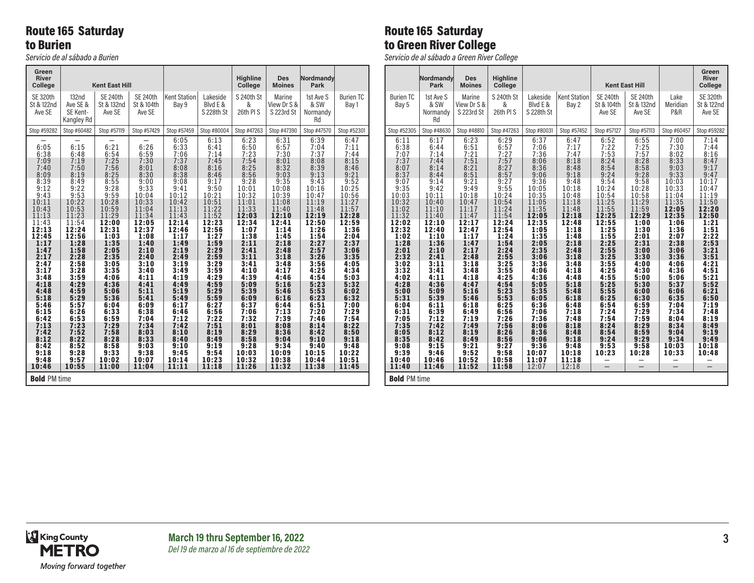## Route 165 Saturday to Burien

*Servicio de al sábado a Burien*

#### **Green River Kent East Hill Highline College Des Moines Nordmandy Park** SE 320th St & 122nd Ave SE 132nd Ave SE & SE Kent-Kangley Rd SE 240th St & 132nd Ave SE SE 240th St & 104th Ave SE Kent Station Bay 9 Lakeside Blvd E & S 228th St S 240th St & 26th Pl S Marine View Dr S & S 223rd St 1st Ave S & SW Normandy Rd Burien TC Bay 1 Stop #59282 | Stop #60482 | Stop #57119 | Stop #57429 | Stop #57459 | Stop #80004 | Stop #47263 | Stop #47390 | Stop #47570 | Stop #52301  $6:05$   $6:13$   $6:23$   $6:31$   $6:39$   $6:47$  $6:05$   $|$   $6:15$   $|$   $6:21$   $|$   $6:26$   $|$   $6:33$   $|$   $6:41$   $|$   $6:50$   $|$   $6:57$   $|$   $7:04$   $|$   $7:11$  $6:38$   $|$   $6:48$   $|$   $6:54$   $|$   $6:59$   $|$   $7:06$   $|$   $7:14$   $|$   $7:23$   $|$   $7:30$   $|$   $7:37$   $|$   $7:44$  $7:09$   $| 7:19$   $| 7:25$   $| 7:30$   $| 7:37$   $| 7:45$   $| 7:54$   $| 8:01$   $| 8:08$   $| 8:15$ 7:40 7:50 7:56 8:01 8:08 8:16 8:25 8:32 8:39 8:46 8:09 8:19 8:25 8:30 8:38 8:46 8:56 9:03 9:13 9:21 8:39 8:49 8:55 9:00 9:08 9:17 9:28 9:35 9:43 9:52 9:12 9:22 9:28 9:33 9:41 9:50 10:01 10:08 10:16 10:25 9:43 9:53 9:59 10:04 10:12 10:21 10:32 10:39 10:47 10:56  $10:11$   $\mid$   $10:22$   $\mid$   $10:28$   $\mid$   $10:33$   $\mid$   $10:42$   $\mid$   $10:51$   $\mid$   $11:01$   $\mid$   $11:08$   $\mid$   $11:19$   $\mid$   $11:27$ 10:43 10:53 10:59 11:04 11:13 11:22 11:33 11:40 11:48 11:57 11:13 11:23 11:29 11:34 11:43 11:52 12:03 12:10 12:19 12:28 11:43 11:54 12:00 12:05 12:14 12:23 12:34 12:41 12:50 12:59 12:13 12:24 12:31 12:37 12:46 12:56 1:07 1:14 1:26 1:36 12:45 12:56 1:03 1:08 1:17 1:27 1:38 1:45 1:54 2:04 1:17 1:28 1:35 1:40 1:49 1:59 2:11 2:18 2:27 2:37 1:47 1:58 2:05 2:10 2:19 2:29 2:41 2:48 2:57 3:06 2:17 2:28 2:35 2:40 2:49 2:59 3:11 3:18 3:26 3:35 2:47 2:58 3:05 3:10 3:19 3:29 3:41 3:48 3:56 4:05 3:17 3:28 3:35 3:40 3:49 3:59 4:10 4:17 4:25 4:34 3:48 3:59 4:06 4:11 4:19 4:29 4:39 4:46 4:54 5:03 4:18 4:29 4:36 4:41 4:49 4:59 5:09 5:16 5:23 5:32 4:48 4:59 5:06 5:11 5:19 5:29 5:39 5:46 5:53 6:02 5:18 5:29 5:36 5:41 5:49 5:59 6:09 6:16 6:23 6:32 5:46 5:57 6:04 6:09 6:17 6:27 6:37 6:44 6:51 7:00  $\, 6:15\,$   $\,$   $\, 6:26\,$   $\,$   $\, 6:33\,$   $\,$   $\, 6:38\,$   $\,$   $\, 6:46\,$   $\,$   $\, 6:56\,$   $\,$   $\,$   $\, 7:06\,$   $\,$   $\,$   $\, 7:13\,$   $\,$   $\,$   $\, 7:20\,$   $\,$   $\,$   $\, 7:29$ 6:42 6:53 6:59 7:04 7:12 7:22 7:32 7:39 7:46 7:54 7:13 7:23 7:29 7:34 7:42 7:51 8:01 8:08 8:14 8:22 7:42 7:52 7:58 8:03 8:10 8:19 8:29 8:36 8:42 8:50 8:12 8:22 8:28 8:33 8:40 8:49 8:58 9:04 9:10 9:18 8:42 8:52 8:58 9:03 9:10 9:19 9:28 9:34 9:40 9:48 9:18 9:28 9:33 9:38 9:45 9:54 10:03 10:09 10:15 10:22 9:48 9:57 10:02 10:07 10:14 10:23 10:32 10:38 10:44 10:51 10:46 10:55 11:00 11:04 11:11 11:18 11:26 11:32 11:38 11:45 Bold PM time

## Route 165 Saturday to Green River College

*Servicio de al sábado a Green River College*

|                                                                                                                                                                                                                                            | Nordmandy<br>Park                                                                                                                                                                                                                          | <b>Des</b><br><b>Moines</b>                                                                                                                                                                                                                | <b>Highline</b><br>College                                                                                                                                                                                                                 |                                                                                                                                                                                                                                            |                                                                                                                                                                                                                                            |                                                                                                                                                                                                                                            | <b>Kent East Hill</b>                                                                                                                                                                                                                     |                                                                                                                                                                                                                                            | Green<br><b>River</b><br>College                                                                                                                                                                                                           |
|--------------------------------------------------------------------------------------------------------------------------------------------------------------------------------------------------------------------------------------------|--------------------------------------------------------------------------------------------------------------------------------------------------------------------------------------------------------------------------------------------|--------------------------------------------------------------------------------------------------------------------------------------------------------------------------------------------------------------------------------------------|--------------------------------------------------------------------------------------------------------------------------------------------------------------------------------------------------------------------------------------------|--------------------------------------------------------------------------------------------------------------------------------------------------------------------------------------------------------------------------------------------|--------------------------------------------------------------------------------------------------------------------------------------------------------------------------------------------------------------------------------------------|--------------------------------------------------------------------------------------------------------------------------------------------------------------------------------------------------------------------------------------------|-------------------------------------------------------------------------------------------------------------------------------------------------------------------------------------------------------------------------------------------|--------------------------------------------------------------------------------------------------------------------------------------------------------------------------------------------------------------------------------------------|--------------------------------------------------------------------------------------------------------------------------------------------------------------------------------------------------------------------------------------------|
| <b>Burien TC</b><br>Bay 5                                                                                                                                                                                                                  | 1st Ave S<br>& SW<br>Normandy<br>Rd                                                                                                                                                                                                        | Marine<br>View Dr S &<br>S 223rd St                                                                                                                                                                                                        | S 240th St<br>&<br>26th PIS                                                                                                                                                                                                                | Lakeside<br>Blvd E &<br>S 228th St                                                                                                                                                                                                         | <b>Kent Station</b><br>Bay 2                                                                                                                                                                                                               | <b>SE 240th</b><br>St & 104th<br>Ave SE                                                                                                                                                                                                    | SE 240th<br>St & 132nd<br>Ave SE                                                                                                                                                                                                          | Lake<br>Meridian<br>P&R                                                                                                                                                                                                                    | <b>SE 320th</b><br>St & 122nd<br>Ave SE                                                                                                                                                                                                    |
| Stop #52305                                                                                                                                                                                                                                | Stop #48630                                                                                                                                                                                                                                | Stop #48810                                                                                                                                                                                                                                | Stop #47263                                                                                                                                                                                                                                | Stop #80031                                                                                                                                                                                                                                | Stop #57452                                                                                                                                                                                                                                | Stop #57127                                                                                                                                                                                                                                | Stop #57113                                                                                                                                                                                                                               | Stop #60457                                                                                                                                                                                                                                | Stop #59282                                                                                                                                                                                                                                |
| 6:11<br>6:38<br>7:07<br>7:37<br>8:07<br>8:37<br>9:07<br>9:35<br>10:03<br>10:32<br>11:02<br>11:32<br>12:02<br>12:32<br>1:02<br>1:28<br>2:01<br>2:32<br>3:02<br>3:32<br>4:02<br>4:28<br>5:00<br>5:31<br>6:04<br>6:31<br>7:05<br>7:35<br>8:05 | 6:17<br>6:44<br>7:14<br>7:44<br>8:14<br>8:44<br>9:14<br>9:42<br>10:11<br>10:40<br>11:10<br>11:40<br>12:10<br>12:40<br>1:10<br>1:36<br>2:10<br>2:41<br>3:11<br>3:41<br>4:11<br>4:36<br>5:09<br>5:39<br>6:11<br>6:39<br>7:12<br>7:42<br>8:12 | 6:23<br>6:51<br>7:21<br>7:51<br>8:21<br>8:51<br>9:21<br>9:49<br>10:18<br>10:47<br>11:17<br>11:47<br>12:17<br>12:47<br>1:17<br>1:47<br>2:17<br>2:48<br>3:18<br>3:48<br>4:18<br>4:47<br>5:16<br>5:46<br>6:18<br>6:49<br>7:19<br>7:49<br>8:19 | 6:29<br>6:57<br>7:27<br>7:57<br>8:27<br>8:57<br>9:27<br>9:55<br>10:24<br>10:54<br>11:24<br>11:54<br>12:24<br>12:54<br>1:24<br>1:54<br>2:24<br>2:55<br>3:25<br>3:55<br>4:25<br>4:54<br>5:23<br>5:53<br>6:25<br>6:56<br>7:26<br>7:56<br>8:26 | 6:37<br>7:06<br>7:36<br>8:06<br>8:36<br>9:06<br>9:36<br>10:05<br>10:35<br>11:05<br>11:35<br>12:05<br>12:35<br>1:05<br>1:35<br>2:05<br>2:35<br>3:06<br>3:36<br>4:06<br>4:36<br>5:05<br>5:35<br>6:05<br>6:36<br>7:06<br>7:36<br>8:06<br>8:36 | 6:47<br>7:17<br>7:47<br>8:18<br>8:48<br>9:18<br>9:48<br>10:18<br>10:48<br>11:18<br>11:48<br>12:18<br>12:48<br>1:18<br>1:48<br>2:18<br>2:48<br>3:18<br>3:48<br>4:18<br>4:48<br>5:18<br>5:48<br>6:18<br>6:48<br>7:18<br>7:48<br>8:18<br>8:48 | 6:52<br>7:22<br>7:53<br>8:24<br>8:54<br>9:24<br>9:54<br>10:24<br>10:54<br>11:25<br>11:55<br>12:25<br>12:55<br>1:25<br>1:55<br>2:25<br>2:55<br>3:25<br>3:55<br>4:25<br>4:55<br>5:25<br>5:55<br>6:25<br>6:54<br>7:24<br>7:54<br>8:24<br>8:54 | 6:55<br>7:25<br>7:57<br>8:28<br>8:58<br>9:28<br>9:58<br>10:28<br>10:58<br>11:29<br>11:59<br>12:29<br>1:00<br>1:30<br>2:01<br>2:31<br>3:00<br>3:30<br>4:00<br>4:30<br>5:00<br>5:30<br>6:00<br>6:30<br>6:59<br>7:29<br>7:59<br>8:29<br>8:59 | 7:00<br>7:30<br>8:02<br>8:33<br>9:03<br>9:33<br>10:03<br>10:33<br>11:04<br>11:35<br>12:05<br>12:35<br>1:06<br>1:36<br>2:07<br>2:38<br>3:06<br>3:36<br>4:06<br>4:36<br>5:06<br>5:37<br>6:06<br>6:35<br>7:04<br>7:34<br>8:04<br>8:34<br>9:04 | 7:14<br>7:44<br>8:16<br>8:47<br>9:17<br>9:47<br>10:17<br>10:47<br>11:19<br>11:50<br>12:20<br>12:50<br>1:21<br>1:51<br>2:22<br>2:53<br>3:21<br>3:51<br>4:21<br>4:51<br>5:21<br>5:52<br>6:21<br>6:50<br>7:19<br>7:48<br>8:19<br>8:49<br>9:19 |
| 8:35<br>9:08                                                                                                                                                                                                                               | 8:42<br>9:15                                                                                                                                                                                                                               | 8:49<br>9:21                                                                                                                                                                                                                               | 8:56<br>9:27                                                                                                                                                                                                                               | 9:06<br>9:36                                                                                                                                                                                                                               | 9:18<br>9:48                                                                                                                                                                                                                               | 9:24<br>9:53                                                                                                                                                                                                                               | 9:29<br>9:58                                                                                                                                                                                                                              | 9:34<br>10:03                                                                                                                                                                                                                              | 9:49<br>10:18                                                                                                                                                                                                                              |
| 9:39<br>10:40                                                                                                                                                                                                                              | 9:46<br>10:46                                                                                                                                                                                                                              | 9:52<br>10:52                                                                                                                                                                                                                              | 9:58<br>10:58                                                                                                                                                                                                                              | 10:07<br>11:07                                                                                                                                                                                                                             | 10:18<br>11:18                                                                                                                                                                                                                             | 10:23                                                                                                                                                                                                                                      | 10:28                                                                                                                                                                                                                                     | 10:33                                                                                                                                                                                                                                      | 10:48                                                                                                                                                                                                                                      |
| 11:40                                                                                                                                                                                                                                      | 11:46                                                                                                                                                                                                                                      | 11:52                                                                                                                                                                                                                                      | 11:58                                                                                                                                                                                                                                      | 12:07                                                                                                                                                                                                                                      | 12:18                                                                                                                                                                                                                                      | $\equiv$                                                                                                                                                                                                                                   | $\overline{\phantom{0}}$                                                                                                                                                                                                                  | $\overline{\phantom{0}}$                                                                                                                                                                                                                   | $\overline{\phantom{0}}$                                                                                                                                                                                                                   |
| <b>Bold PM time</b>                                                                                                                                                                                                                        |                                                                                                                                                                                                                                            |                                                                                                                                                                                                                                            |                                                                                                                                                                                                                                            |                                                                                                                                                                                                                                            |                                                                                                                                                                                                                                            |                                                                                                                                                                                                                                            |                                                                                                                                                                                                                                           |                                                                                                                                                                                                                                            |                                                                                                                                                                                                                                            |